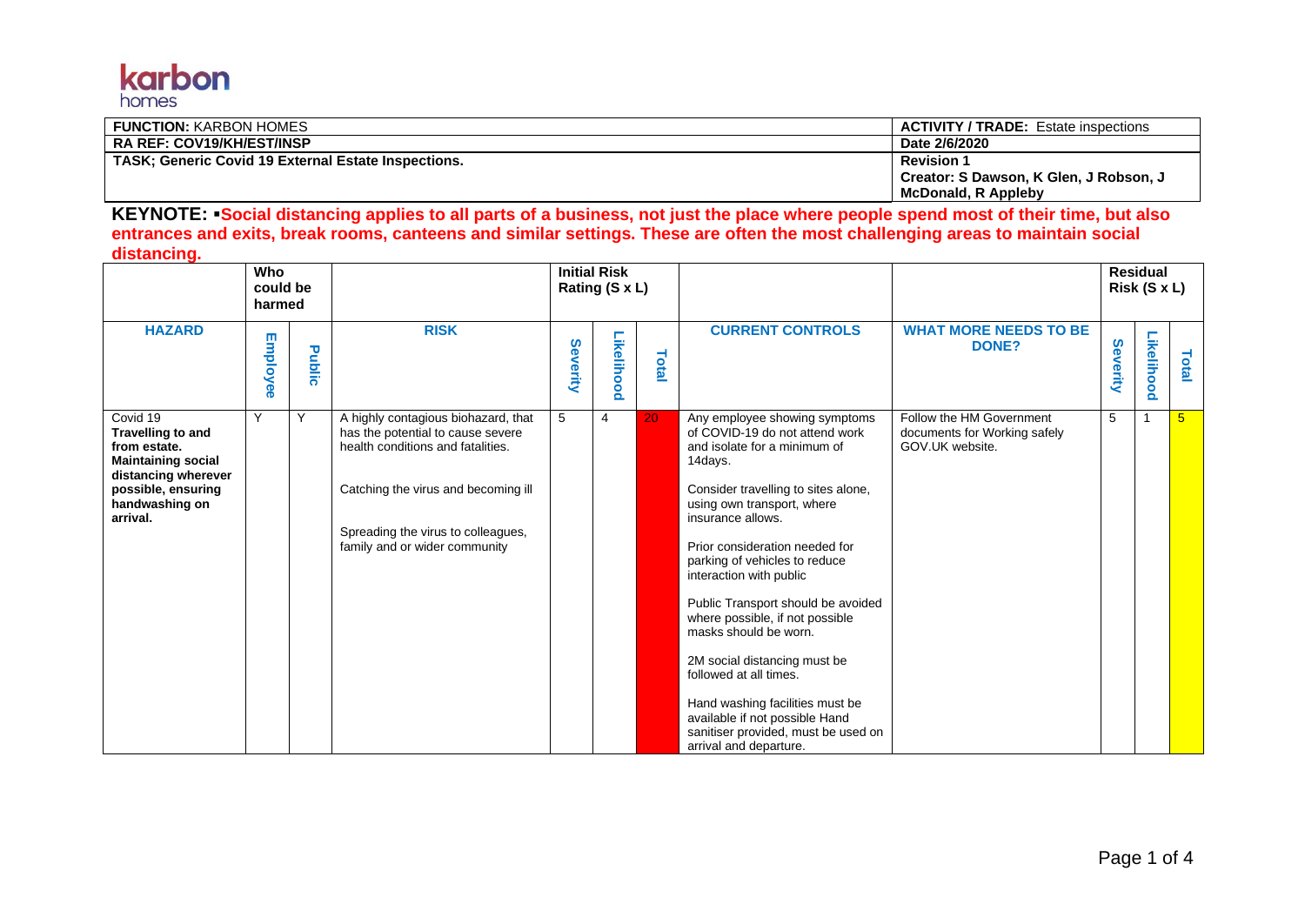

| <b>FUNCTION: KARBON HOMES</b>                              | <b>ACTIVITY / TRADE:</b> Estate inspections |
|------------------------------------------------------------|---------------------------------------------|
| <b>RA REF: COV19/KH/EST/INSP</b>                           | Date 2/6/2020                               |
| <b>TASK: Generic Covid 19 External Estate Inspections.</b> | <b>Revision 1</b>                           |
|                                                            | Creator: S Dawson, K Glen, J Robson, J      |
|                                                            | <b>McDonald, R Appleby</b>                  |

**KEYNOTE:** ▪**Social distancing applies to all parts of a business, not just the place where people spend most of their time, but also entrances and exits, break rooms, canteens and similar settings. These are often the most challenging areas to maintain social distancing.**

|                                                                                                                                                       | Who<br>could be<br>harmed |        |                                                                                                                                                                                                                             | <b>Initial Risk</b><br>Rating (S x L) |                |       |                                                                                                                                                                                                                                                                                                                                                                                                                                                                                                                                                                                                      |                                                                             |          | <b>Residual</b><br>Risk (S x L) |                 |
|-------------------------------------------------------------------------------------------------------------------------------------------------------|---------------------------|--------|-----------------------------------------------------------------------------------------------------------------------------------------------------------------------------------------------------------------------------|---------------------------------------|----------------|-------|------------------------------------------------------------------------------------------------------------------------------------------------------------------------------------------------------------------------------------------------------------------------------------------------------------------------------------------------------------------------------------------------------------------------------------------------------------------------------------------------------------------------------------------------------------------------------------------------------|-----------------------------------------------------------------------------|----------|---------------------------------|-----------------|
| <b>HAZARD</b>                                                                                                                                         | Employee                  | Public | <b>RISK</b>                                                                                                                                                                                                                 | Severity                              | Likelihood     | Total | <b>CURRENT CONTROLS</b>                                                                                                                                                                                                                                                                                                                                                                                                                                                                                                                                                                              | <b>WHAT MORE NEEDS TO BE</b><br>DONE?                                       | Severity | Likelihood                      | Total           |
| Covid 19<br>Travelling to and<br>from estate.<br><b>Maintaining social</b><br>distancing wherever<br>possible, ensuring<br>handwashing on<br>arrival. | Y                         | Υ      | A highly contagious biohazard, that<br>has the potential to cause severe<br>health conditions and fatalities.<br>Catching the virus and becoming ill<br>Spreading the virus to colleagues,<br>family and or wider community | 5                                     | $\overline{4}$ | 20    | Any employee showing symptoms<br>of COVID-19 do not attend work<br>and isolate for a minimum of<br>14days.<br>Consider travelling to sites alone,<br>using own transport, where<br>insurance allows.<br>Prior consideration needed for<br>parking of vehicles to reduce<br>interaction with public<br>Public Transport should be avoided<br>where possible, if not possible<br>masks should be worn.<br>2M social distancing must be<br>followed at all times.<br>Hand washing facilities must be<br>available if not possible Hand<br>sanitiser provided, must be used on<br>arrival and departure. | Follow the HM Government<br>documents for Working safely<br>GOV.UK website. | 5        |                                 | $5\overline{)}$ |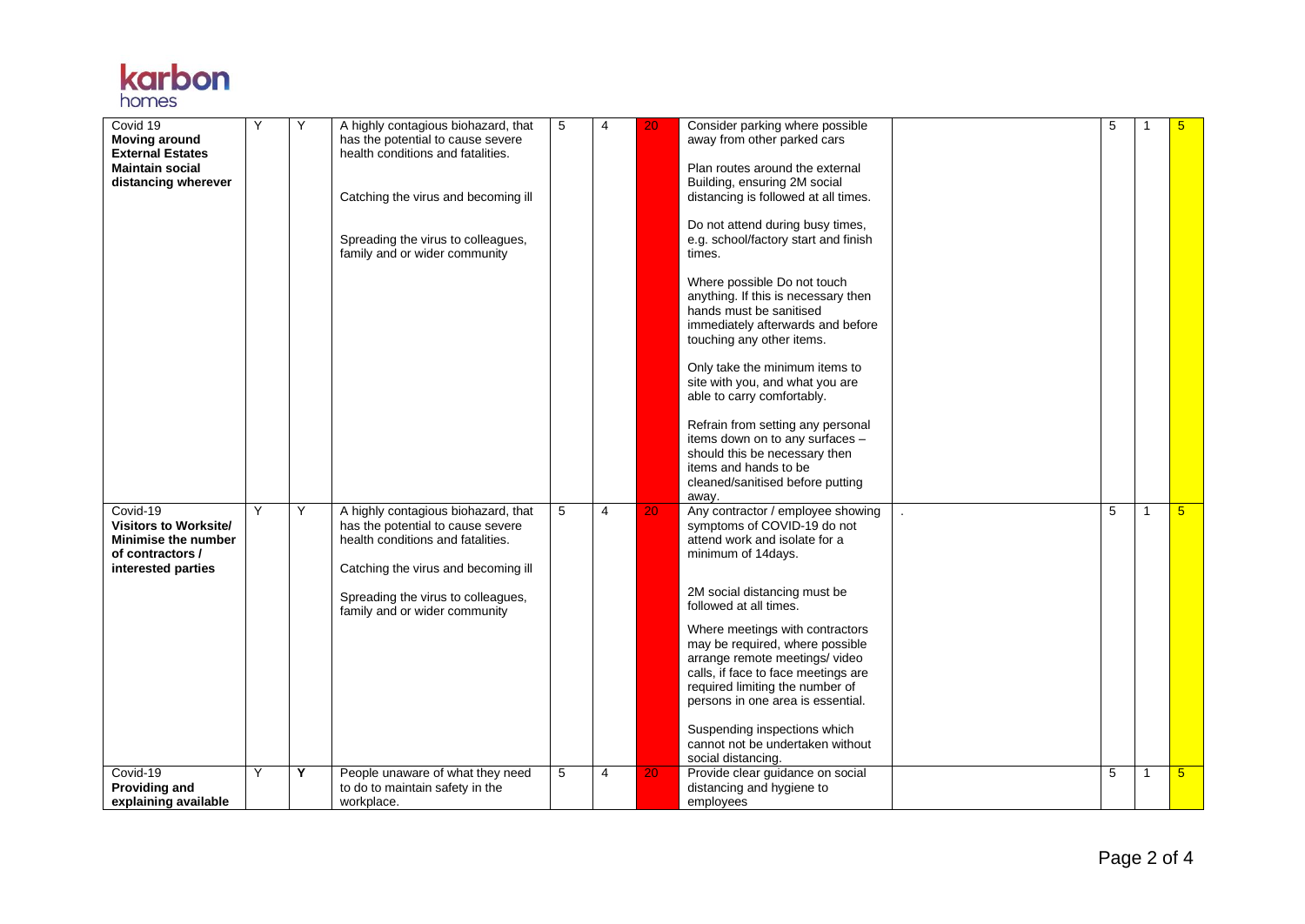

| Covid 19<br><b>Moving around</b><br><b>External Estates</b><br><b>Maintain social</b><br>distancing wherever                 | Y      | Υ      | A highly contagious biohazard, that<br>has the potential to cause severe<br>health conditions and fatalities.<br>Catching the virus and becoming ill<br>Spreading the virus to colleagues,<br>family and or wider community                                     | 5      | $\overline{4}$      | 20       | Consider parking where possible<br>away from other parked cars<br>Plan routes around the external<br>Building, ensuring 2M social<br>distancing is followed at all times.<br>Do not attend during busy times,<br>e.g. school/factory start and finish<br>times.<br>Where possible Do not touch<br>anything. If this is necessary then<br>hands must be sanitised<br>immediately afterwards and before<br>touching any other items.<br>Only take the minimum items to<br>site with you, and what you are<br>able to carry comfortably.<br>Refrain from setting any personal<br>items down on to any surfaces -<br>should this be necessary then<br>items and hands to be<br>cleaned/sanitised before putting<br>away. | 5      |                                | 5                                  |
|------------------------------------------------------------------------------------------------------------------------------|--------|--------|-----------------------------------------------------------------------------------------------------------------------------------------------------------------------------------------------------------------------------------------------------------------|--------|---------------------|----------|----------------------------------------------------------------------------------------------------------------------------------------------------------------------------------------------------------------------------------------------------------------------------------------------------------------------------------------------------------------------------------------------------------------------------------------------------------------------------------------------------------------------------------------------------------------------------------------------------------------------------------------------------------------------------------------------------------------------|--------|--------------------------------|------------------------------------|
| Covid-19<br><b>Visitors to Worksite/</b><br><b>Minimise the number</b><br>of contractors /<br>interested parties<br>Covid-19 | Y<br>Υ | Y<br>Y | A highly contagious biohazard, that<br>has the potential to cause severe<br>health conditions and fatalities.<br>Catching the virus and becoming ill<br>Spreading the virus to colleagues,<br>family and or wider community<br>People unaware of what they need | 5<br>5 | $\overline{4}$<br>4 | 20<br>20 | Any contractor / employee showing<br>symptoms of COVID-19 do not<br>attend work and isolate for a<br>minimum of 14days.<br>2M social distancing must be<br>followed at all times.<br>Where meetings with contractors<br>may be required, where possible<br>arrange remote meetings/video<br>calls, if face to face meetings are<br>required limiting the number of<br>persons in one area is essential.<br>Suspending inspections which<br>cannot not be undertaken without<br>social distancing.<br>Provide clear guidance on social                                                                                                                                                                                | 5<br>5 | $\overline{1}$<br>$\mathbf{1}$ | $5\overline{)}$<br>$5\overline{)}$ |
| Providing and<br>explaining available                                                                                        |        |        | to do to maintain safety in the<br>workplace.                                                                                                                                                                                                                   |        |                     |          | distancing and hygiene to<br>employees                                                                                                                                                                                                                                                                                                                                                                                                                                                                                                                                                                                                                                                                               |        |                                |                                    |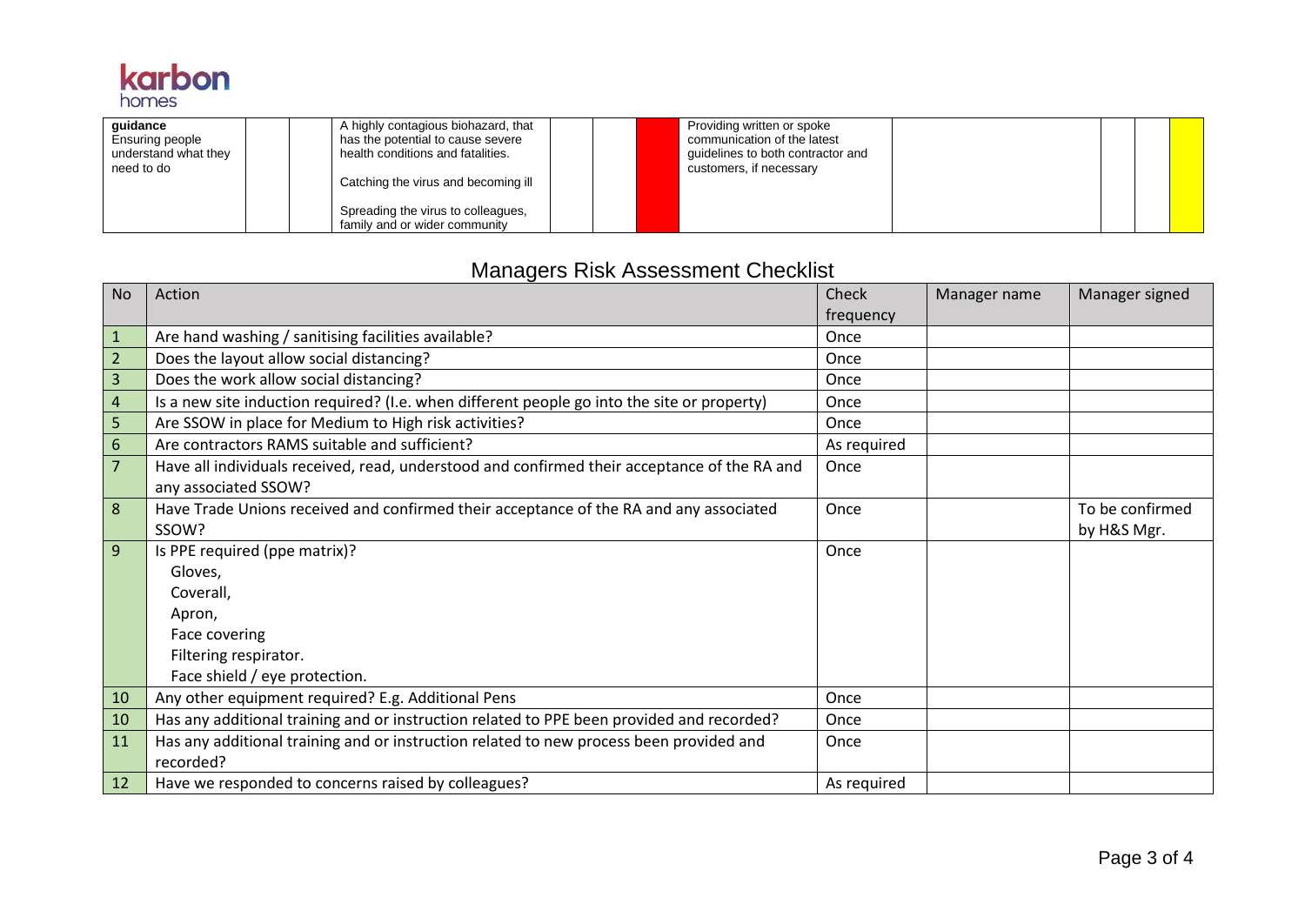

| quidance<br>Ensuring people<br>understand what they<br>need to do | A highly contagious biohazard, that<br>has the potential to cause severe<br>health conditions and fatalities.<br>Catching the virus and becoming ill |  | Providing written or spoke<br>communication of the latest<br>guidelines to both contractor and<br>customers, if necessary |  |  |
|-------------------------------------------------------------------|------------------------------------------------------------------------------------------------------------------------------------------------------|--|---------------------------------------------------------------------------------------------------------------------------|--|--|
|                                                                   | Spreading the virus to colleagues,<br>family and or wider community                                                                                  |  |                                                                                                                           |  |  |

## Managers Risk Assessment Checklist

| <b>No</b>      | Action                                                                                       | Check       | Manager name | Manager signed  |
|----------------|----------------------------------------------------------------------------------------------|-------------|--------------|-----------------|
|                |                                                                                              | frequency   |              |                 |
| -1             | Are hand washing / sanitising facilities available?                                          | Once        |              |                 |
| $\overline{2}$ | Does the layout allow social distancing?                                                     | Once        |              |                 |
| 3              | Does the work allow social distancing?                                                       | Once        |              |                 |
| $\overline{4}$ | Is a new site induction required? (I.e. when different people go into the site or property)  | Once        |              |                 |
| 5              | Are SSOW in place for Medium to High risk activities?                                        | Once        |              |                 |
| 6              | Are contractors RAMS suitable and sufficient?                                                | As required |              |                 |
| $\overline{7}$ | Have all individuals received, read, understood and confirmed their acceptance of the RA and | Once        |              |                 |
|                | any associated SSOW?                                                                         |             |              |                 |
| 8              | Have Trade Unions received and confirmed their acceptance of the RA and any associated       | Once        |              | To be confirmed |
|                | SSOW?                                                                                        |             |              | by H&S Mgr.     |
| 9              | Is PPE required (ppe matrix)?                                                                | Once        |              |                 |
|                | Gloves,                                                                                      |             |              |                 |
|                | Coverall,                                                                                    |             |              |                 |
|                | Apron,                                                                                       |             |              |                 |
|                | Face covering                                                                                |             |              |                 |
|                | Filtering respirator.                                                                        |             |              |                 |
|                | Face shield / eye protection.                                                                |             |              |                 |
| 10             | Any other equipment required? E.g. Additional Pens                                           | Once        |              |                 |
| 10             | Has any additional training and or instruction related to PPE been provided and recorded?    | Once        |              |                 |
| 11             | Has any additional training and or instruction related to new process been provided and      | Once        |              |                 |
|                | recorded?                                                                                    |             |              |                 |
| 12             | Have we responded to concerns raised by colleagues?                                          | As required |              |                 |